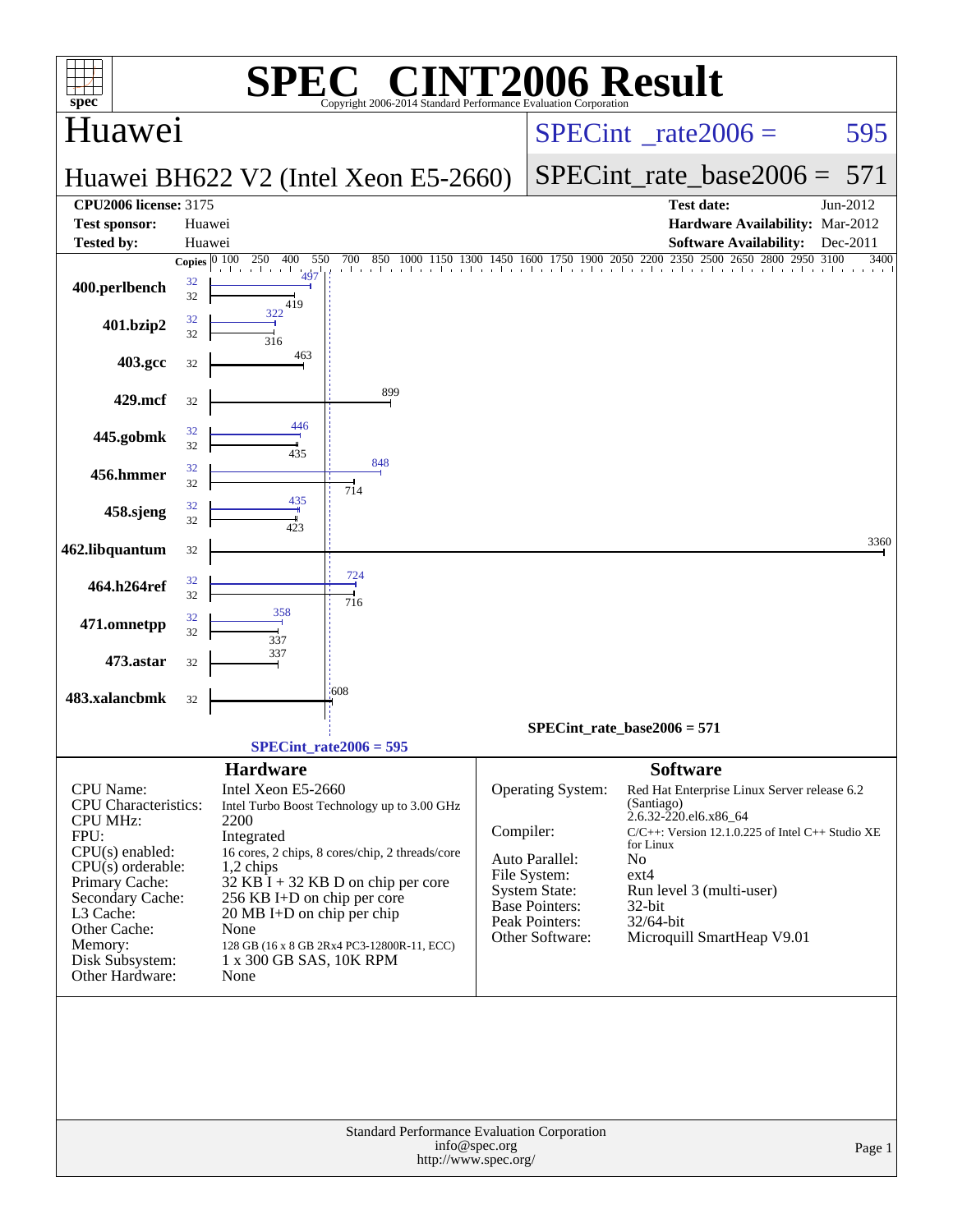| <b>C® CINT2006 Result</b><br>SPE<br>$spec^*$<br>Copyright 2006-2014 Standard Performance Evaluation Corporation                                                                                                                 |                                     |                                                                                                                                                                                            |                                                                                                                                                                                      |                                          |                                                                                                                                           |                                                                                                                             |                                                                                                                                                                |              |  |  |  |
|---------------------------------------------------------------------------------------------------------------------------------------------------------------------------------------------------------------------------------|-------------------------------------|--------------------------------------------------------------------------------------------------------------------------------------------------------------------------------------------|--------------------------------------------------------------------------------------------------------------------------------------------------------------------------------------|------------------------------------------|-------------------------------------------------------------------------------------------------------------------------------------------|-----------------------------------------------------------------------------------------------------------------------------|----------------------------------------------------------------------------------------------------------------------------------------------------------------|--------------|--|--|--|
| Huawei                                                                                                                                                                                                                          |                                     |                                                                                                                                                                                            |                                                                                                                                                                                      | $SPECint^{\circ}$ <sub>_rate2006</sub> = |                                                                                                                                           |                                                                                                                             | 595                                                                                                                                                            |              |  |  |  |
|                                                                                                                                                                                                                                 |                                     |                                                                                                                                                                                            | Huawei BH622 V2 (Intel Xeon E5-2660)                                                                                                                                                 |                                          |                                                                                                                                           |                                                                                                                             | $SPECint_rate base2006 =$                                                                                                                                      | 571          |  |  |  |
| <b>CPU2006 license: 3175</b>                                                                                                                                                                                                    |                                     |                                                                                                                                                                                            |                                                                                                                                                                                      |                                          |                                                                                                                                           |                                                                                                                             | <b>Test date:</b>                                                                                                                                              | Jun-2012     |  |  |  |
| <b>Test sponsor:</b>                                                                                                                                                                                                            | Huawei                              |                                                                                                                                                                                            |                                                                                                                                                                                      |                                          |                                                                                                                                           |                                                                                                                             | Hardware Availability: Mar-2012                                                                                                                                |              |  |  |  |
| <b>Tested by:</b>                                                                                                                                                                                                               | Huawei                              |                                                                                                                                                                                            |                                                                                                                                                                                      |                                          |                                                                                                                                           |                                                                                                                             | <b>Software Availability:</b>                                                                                                                                  | Dec-2011     |  |  |  |
| 400.perlbench                                                                                                                                                                                                                   | Copies $\boxed{0\ 100}$<br>32<br>32 | 250<br>400<br>550<br>and a search and the<br>497<br>419                                                                                                                                    | 700 850 1000 1150 1300 1450 1600 1750 1900 2050 2200 2350 2500 2650 2800 2950                                                                                                        |                                          |                                                                                                                                           |                                                                                                                             |                                                                                                                                                                | 3100<br>3400 |  |  |  |
| 401.bzip2                                                                                                                                                                                                                       | 32<br>32                            | 322<br>316                                                                                                                                                                                 |                                                                                                                                                                                      |                                          |                                                                                                                                           |                                                                                                                             |                                                                                                                                                                |              |  |  |  |
| 403.gcc                                                                                                                                                                                                                         | 32                                  | 463                                                                                                                                                                                        |                                                                                                                                                                                      |                                          |                                                                                                                                           |                                                                                                                             |                                                                                                                                                                |              |  |  |  |
| 429.mcf                                                                                                                                                                                                                         | 32                                  |                                                                                                                                                                                            | 899                                                                                                                                                                                  |                                          |                                                                                                                                           |                                                                                                                             |                                                                                                                                                                |              |  |  |  |
| 445.gobmk                                                                                                                                                                                                                       | 32<br>32                            | 446<br>435                                                                                                                                                                                 | 848                                                                                                                                                                                  |                                          |                                                                                                                                           |                                                                                                                             |                                                                                                                                                                |              |  |  |  |
| 456.hmmer                                                                                                                                                                                                                       | 32<br>32                            | 435                                                                                                                                                                                        | 714                                                                                                                                                                                  |                                          |                                                                                                                                           |                                                                                                                             |                                                                                                                                                                |              |  |  |  |
| 458.sjeng                                                                                                                                                                                                                       | 32<br>32                            | 423                                                                                                                                                                                        |                                                                                                                                                                                      |                                          |                                                                                                                                           |                                                                                                                             |                                                                                                                                                                |              |  |  |  |
| 462.libquantum                                                                                                                                                                                                                  | 32                                  |                                                                                                                                                                                            |                                                                                                                                                                                      |                                          |                                                                                                                                           |                                                                                                                             |                                                                                                                                                                | 3360         |  |  |  |
| 464.h264ref                                                                                                                                                                                                                     | 32<br>32                            |                                                                                                                                                                                            | 724<br>716                                                                                                                                                                           |                                          |                                                                                                                                           |                                                                                                                             |                                                                                                                                                                |              |  |  |  |
| 471.omnetpp                                                                                                                                                                                                                     | 32<br>32                            | 358<br>337                                                                                                                                                                                 |                                                                                                                                                                                      |                                          |                                                                                                                                           |                                                                                                                             |                                                                                                                                                                |              |  |  |  |
| 473.astar                                                                                                                                                                                                                       | 32                                  | 337                                                                                                                                                                                        |                                                                                                                                                                                      |                                          |                                                                                                                                           |                                                                                                                             |                                                                                                                                                                |              |  |  |  |
| 483.xalancbmk                                                                                                                                                                                                                   | 32                                  |                                                                                                                                                                                            | 608                                                                                                                                                                                  |                                          |                                                                                                                                           |                                                                                                                             |                                                                                                                                                                |              |  |  |  |
|                                                                                                                                                                                                                                 |                                     |                                                                                                                                                                                            |                                                                                                                                                                                      |                                          | $SPECint_rate_base2006 = 571$                                                                                                             |                                                                                                                             |                                                                                                                                                                |              |  |  |  |
|                                                                                                                                                                                                                                 |                                     |                                                                                                                                                                                            | $SPECint rate2006 = 595$                                                                                                                                                             |                                          |                                                                                                                                           |                                                                                                                             |                                                                                                                                                                |              |  |  |  |
| CPU Name:<br><b>CPU</b> Characteristics:<br><b>CPU MHz:</b><br>FPU:<br>CPU(s) enabled:<br>CPU(s) orderable:<br>Primary Cache:<br>Secondary Cache:<br>L3 Cache:<br>Other Cache:<br>Memory:<br>Disk Subsystem:<br>Other Hardware: |                                     | <b>Hardware</b><br>Intel Xeon E5-2660<br>2200<br>Integrated<br>1,2 chips<br>256 KB I+D on chip per core<br>$20 \text{ MB I+D}$ on chip per chip<br>None<br>1 x 300 GB SAS, 10K RPM<br>None | Intel Turbo Boost Technology up to 3.00 GHz<br>16 cores, 2 chips, 8 cores/chip, 2 threads/core<br>$32$ KB I + 32 KB D on chip per core<br>128 GB (16 x 8 GB 2Rx4 PC3-12800R-11, ECC) | Compiler:                                | Operating System:<br>Auto Parallel:<br>File System:<br><b>System State:</b><br><b>Base Pointers:</b><br>Peak Pointers:<br>Other Software: | <b>Software</b><br>(Santiago)<br>2.6.32-220.el6.x86_64<br>for Linux<br>N <sub>0</sub><br>$ext{4}$<br>$32$ -bit<br>32/64-bit | Red Hat Enterprise Linux Server release 6.2<br>$C/C++$ : Version 12.1.0.225 of Intel $C++$ Studio XE<br>Run level 3 (multi-user)<br>Microquill SmartHeap V9.01 |              |  |  |  |
|                                                                                                                                                                                                                                 |                                     |                                                                                                                                                                                            | Standard Performance Evaluation Corporation<br>http://www.spec.org/                                                                                                                  | info@spec.org                            |                                                                                                                                           |                                                                                                                             |                                                                                                                                                                | Page 1       |  |  |  |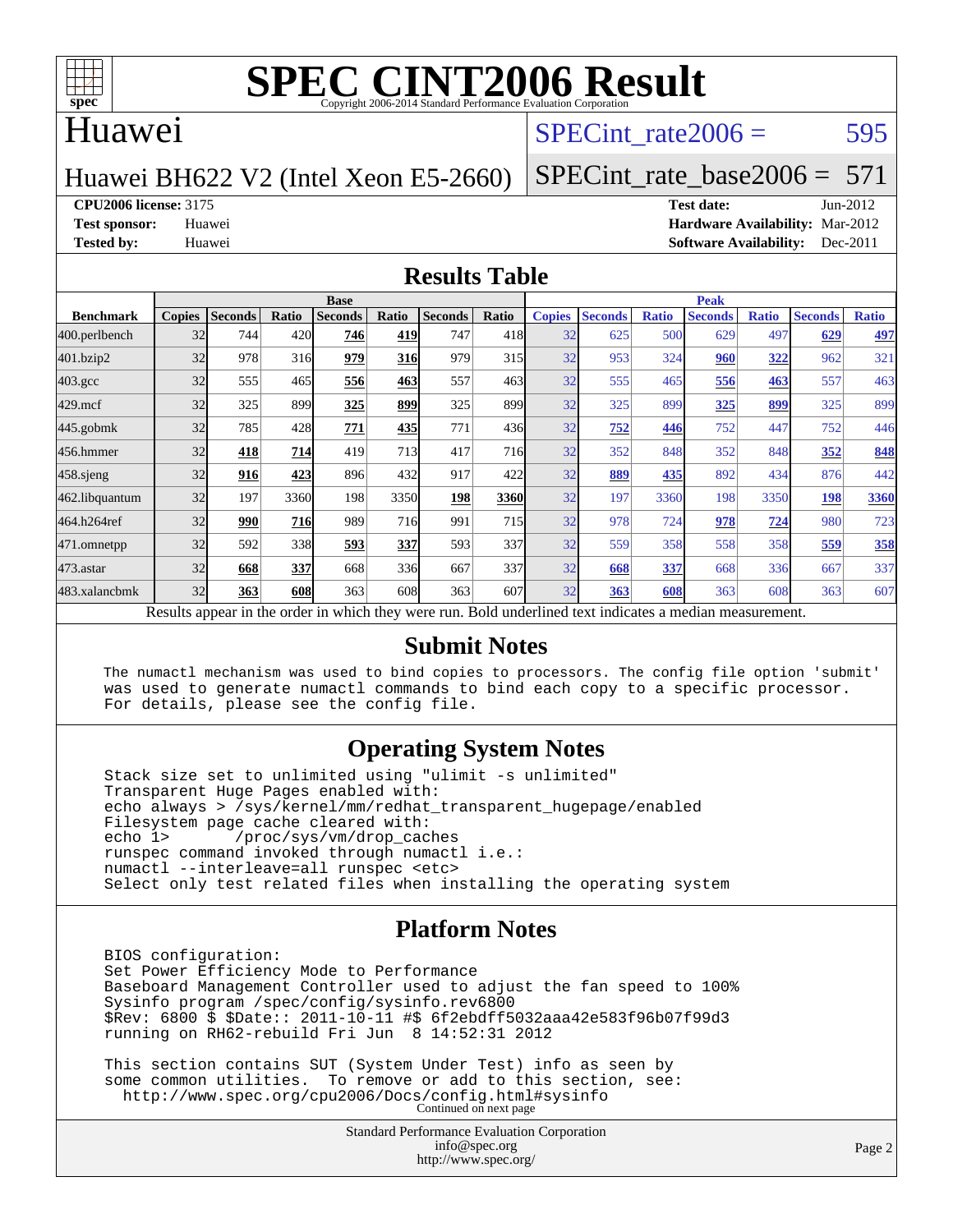

### Huawei

### SPECint rate $2006 = 595$

#### Huawei BH622 V2 (Intel Xeon E5-2660)

[SPECint\\_rate\\_base2006 =](http://www.spec.org/auto/cpu2006/Docs/result-fields.html#SPECintratebase2006)  $571$ 

#### **[CPU2006 license:](http://www.spec.org/auto/cpu2006/Docs/result-fields.html#CPU2006license)** 3175 **[Test date:](http://www.spec.org/auto/cpu2006/Docs/result-fields.html#Testdate)** Jun-2012

**[Test sponsor:](http://www.spec.org/auto/cpu2006/Docs/result-fields.html#Testsponsor)** Huawei **[Hardware Availability:](http://www.spec.org/auto/cpu2006/Docs/result-fields.html#HardwareAvailability)** Mar-2012 **[Tested by:](http://www.spec.org/auto/cpu2006/Docs/result-fields.html#Testedby)** Huawei **[Software Availability:](http://www.spec.org/auto/cpu2006/Docs/result-fields.html#SoftwareAvailability)** Dec-2011

#### **[Results Table](http://www.spec.org/auto/cpu2006/Docs/result-fields.html#ResultsTable)**

|                                                                                                          | <b>Base</b>   |                |              |                |            |                |            | <b>Peak</b>   |                |              |                |              |                |              |
|----------------------------------------------------------------------------------------------------------|---------------|----------------|--------------|----------------|------------|----------------|------------|---------------|----------------|--------------|----------------|--------------|----------------|--------------|
| <b>Benchmark</b>                                                                                         | <b>Copies</b> | <b>Seconds</b> | Ratio        | <b>Seconds</b> | Ratio      | <b>Seconds</b> | Ratio      | <b>Copies</b> | <b>Seconds</b> | <b>Ratio</b> | <b>Seconds</b> | <b>Ratio</b> | <b>Seconds</b> | <b>Ratio</b> |
| 400.perlbench                                                                                            | 32            | 744            | 420 <b>1</b> | 746            | 419        | 747            | 418        | 32            | 625            | 500          | 629            | 497          | 629            | 497          |
| 401.bzip2                                                                                                | 32            | 978            | 316          | 979            | <b>316</b> | 979            | 315        | 32            | 953            | 324          | 960            | <u>322</u>   | 962            | 321          |
| $403.\mathrm{gcc}$                                                                                       | 32            | 555            | 465          | 556            | 463        | 557            | 463        | 32            | 555            | 465          | 556            | 463          | 557            | 463          |
| $429$ .mcf                                                                                               | 32            | 325            | 899          | 325            | 899        | 325            | 899        | 32            | 325            | 899          | 325            | 899          | 325            | 899          |
| $445$ .gobm $k$                                                                                          | 32            | 785            | 428          | 771            | 435        | 771            | 436        | 32            | 752            | 446          | 752            | 447          | 752            | 446          |
| 456.hmmer                                                                                                | 32            | 418            | 714          | 419            | 713        | 417            | <b>716</b> | 32            | 352            | 848          | 352            | 848          | 352            | 848          |
| 458 sjeng                                                                                                | 32            | 916            | 423          | 896            | 432        | 917            | 422        | 32            | 889            | 435          | 892            | 434          | 876            | 442          |
| 462.libquantum                                                                                           | 32            | 197            | 3360         | 198            | 3350       | 198            | 3360       | 32            | 197            | 3360         | 198            | 3350         | 198            | 3360         |
| 464.h264ref                                                                                              | 32            | 990            | 716          | 989            | 716        | 991            | 715        | 32            | 978            | 724          | 978            | 724          | 980            | 723          |
| 471.omnetpp                                                                                              | 32            | 592            | 338          | 593            | 337        | 593            | 337l       | 32            | 559            | 358          | 558            | 358          | 559            | 358          |
| $473.$ astar                                                                                             | 32            | 668            | 337          | 668            | 336        | 667            | 337        | 32            | 668            | 337          | 668            | 336          | 667            | 337          |
| 483.xalancbmk                                                                                            | 32            | 363            | 608          | 363            | 608        | 363            | 607        | 32            | 363            | 608          | 363            | 608          | 363            | 607          |
| Results appear in the order in which they were run. Bold underlined text indicates a median measurement. |               |                |              |                |            |                |            |               |                |              |                |              |                |              |

#### **[Submit Notes](http://www.spec.org/auto/cpu2006/Docs/result-fields.html#SubmitNotes)**

 The numactl mechanism was used to bind copies to processors. The config file option 'submit' was used to generate numactl commands to bind each copy to a specific processor. For details, please see the config file.

#### **[Operating System Notes](http://www.spec.org/auto/cpu2006/Docs/result-fields.html#OperatingSystemNotes)**

 Stack size set to unlimited using "ulimit -s unlimited" Transparent Huge Pages enabled with: echo always > /sys/kernel/mm/redhat\_transparent\_hugepage/enabled Filesystem page cache cleared with:<br>echo 1> /proc/sys/vm/drop cac /proc/sys/vm/drop\_caches runspec command invoked through numactl i.e.: numactl --interleave=all runspec <etc> Select only test related files when installing the operating system

#### **[Platform Notes](http://www.spec.org/auto/cpu2006/Docs/result-fields.html#PlatformNotes)**

 BIOS configuration: Set Power Efficiency Mode to Performance Baseboard Management Controller used to adjust the fan speed to 100% Sysinfo program /spec/config/sysinfo.rev6800 \$Rev: 6800 \$ \$Date:: 2011-10-11 #\$ 6f2ebdff5032aaa42e583f96b07f99d3 running on RH62-rebuild Fri Jun 8 14:52:31 2012

 This section contains SUT (System Under Test) info as seen by some common utilities. To remove or add to this section, see: <http://www.spec.org/cpu2006/Docs/config.html#sysinfo> Continued on next page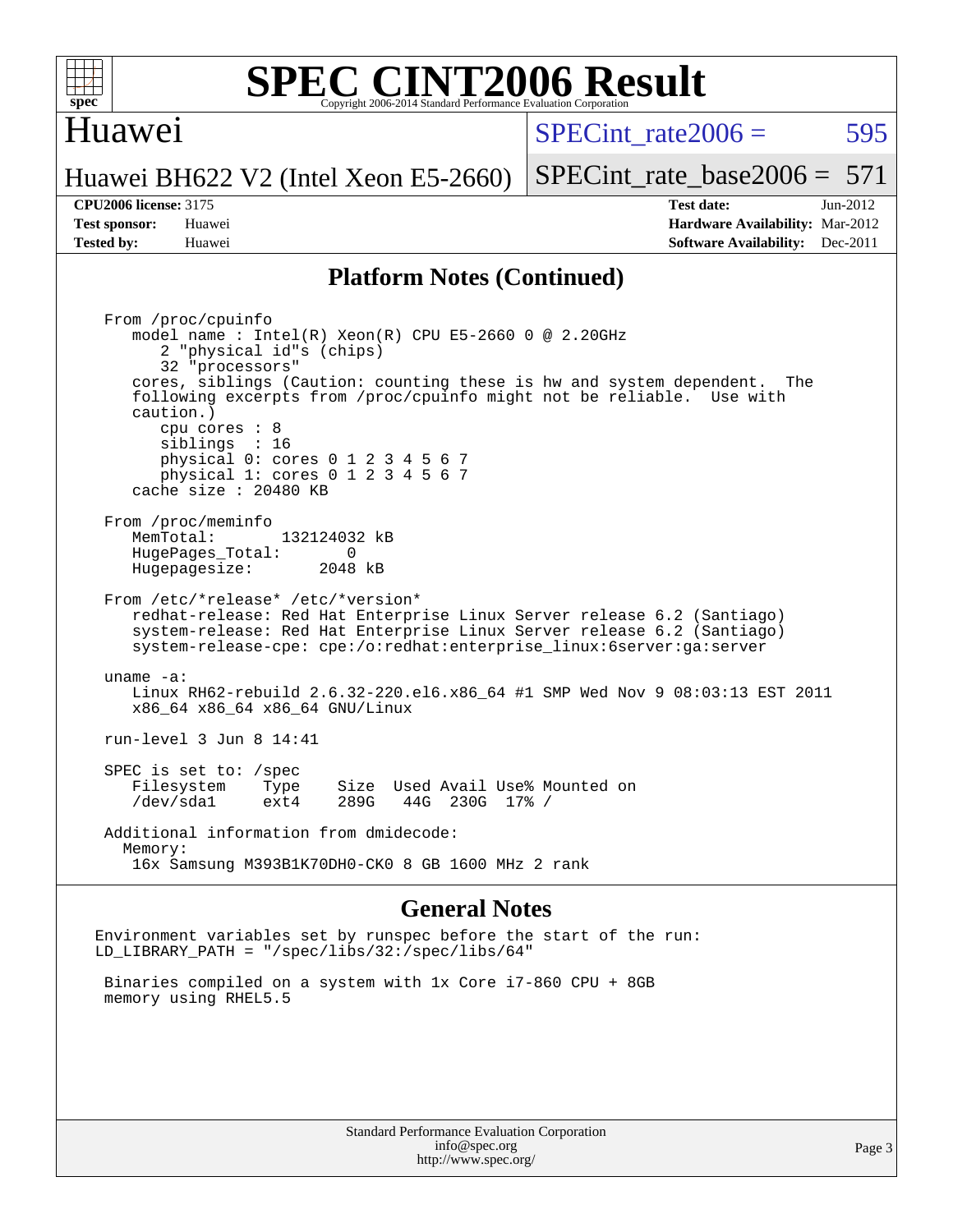

### Huawei

SPECint rate $2006 = 595$ 

[SPECint\\_rate\\_base2006 =](http://www.spec.org/auto/cpu2006/Docs/result-fields.html#SPECintratebase2006) 571

# Huawei BH622 V2 (Intel Xeon E5-2660)

**[CPU2006 license:](http://www.spec.org/auto/cpu2006/Docs/result-fields.html#CPU2006license)** 3175 **[Test date:](http://www.spec.org/auto/cpu2006/Docs/result-fields.html#Testdate)** Jun-2012 **[Test sponsor:](http://www.spec.org/auto/cpu2006/Docs/result-fields.html#Testsponsor)** Huawei **[Hardware Availability:](http://www.spec.org/auto/cpu2006/Docs/result-fields.html#HardwareAvailability)** Mar-2012 **[Tested by:](http://www.spec.org/auto/cpu2006/Docs/result-fields.html#Testedby)** Huawei **[Software Availability:](http://www.spec.org/auto/cpu2006/Docs/result-fields.html#SoftwareAvailability)** Dec-2011

#### **[Platform Notes \(Continued\)](http://www.spec.org/auto/cpu2006/Docs/result-fields.html#PlatformNotes)**

 From /proc/cpuinfo model name : Intel(R) Xeon(R) CPU E5-2660 0 @ 2.20GHz 2 "physical id"s (chips) 32 "processors" cores, siblings (Caution: counting these is hw and system dependent. The following excerpts from /proc/cpuinfo might not be reliable. Use with caution.) cpu cores : 8 siblings : 16 physical 0: cores 0 1 2 3 4 5 6 7 physical 1: cores 0 1 2 3 4 5 6 7 cache size : 20480 KB From /proc/meminfo MemTotal: 132124032 kB<br>Hugebages Total: 0 HugePages\_Total: 0 Hugepagesize: 2048 kB From /etc/\*release\* /etc/\*version\* redhat-release: Red Hat Enterprise Linux Server release 6.2 (Santiago) system-release: Red Hat Enterprise Linux Server release 6.2 (Santiago) system-release-cpe: cpe:/o:redhat:enterprise\_linux:6server:ga:server uname -a: Linux RH62-rebuild 2.6.32-220.el6.x86\_64 #1 SMP Wed Nov 9 08:03:13 EST 2011 x86\_64 x86\_64 x86\_64 GNU/Linux run-level 3 Jun 8 14:41 SPEC is set to: /spec Filesystem Type Size Used Avail Use% Mounted on<br>
/dev/sdal ext4 289G 44G 230G 17% / /dev/sda1 ext4 289G 44G 230G 17% / Additional information from dmidecode: Memory: 16x Samsung M393B1K70DH0-CK0 8 GB 1600 MHz 2 rank

#### **[General Notes](http://www.spec.org/auto/cpu2006/Docs/result-fields.html#GeneralNotes)**

Environment variables set by runspec before the start of the run: LD\_LIBRARY\_PATH = "/spec/libs/32:/spec/libs/64"

 Binaries compiled on a system with 1x Core i7-860 CPU + 8GB memory using RHEL5.5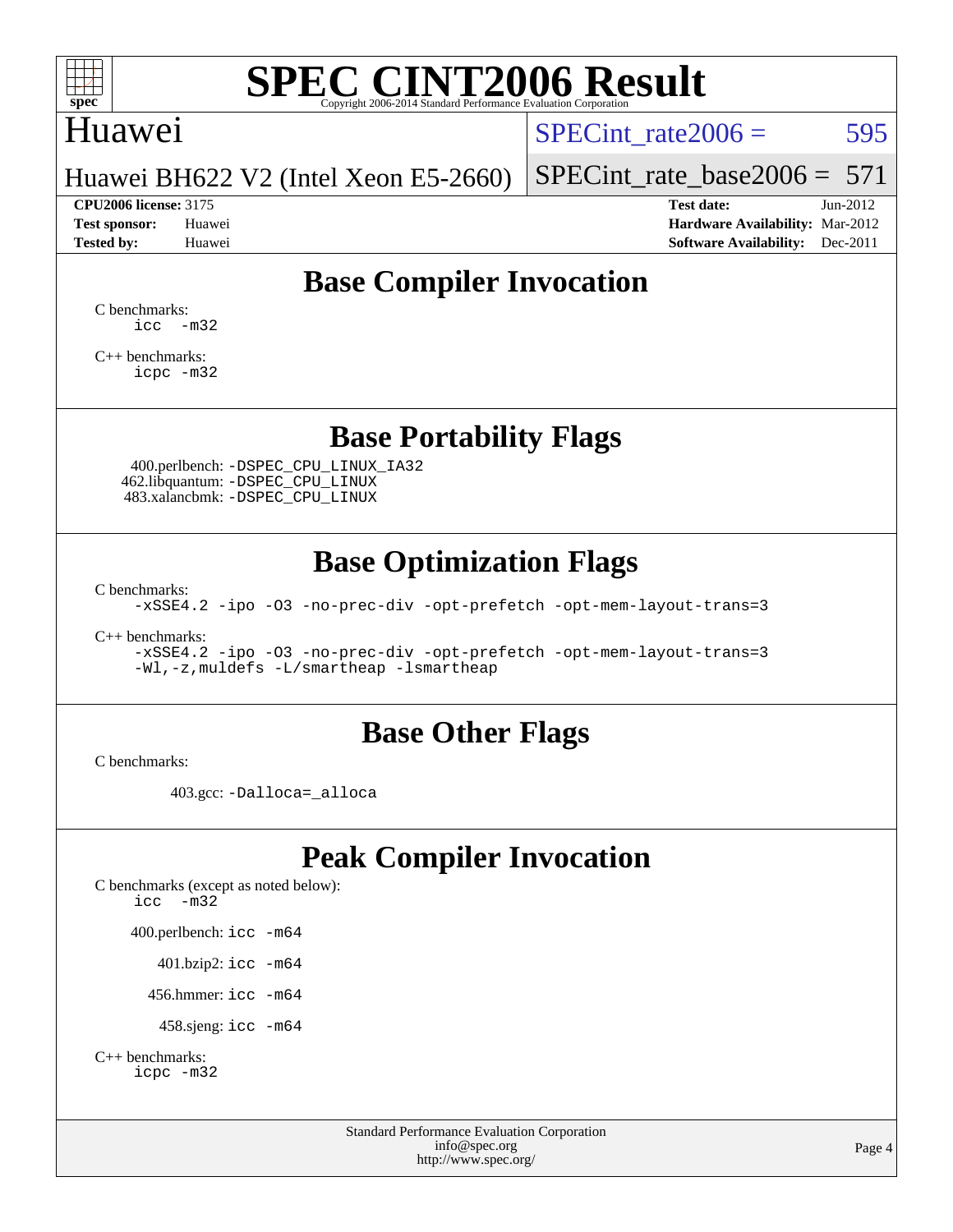

## Huawei

SPECint rate $2006 = 595$ 

Huawei BH622 V2 (Intel Xeon E5-2660)

[SPECint\\_rate\\_base2006 =](http://www.spec.org/auto/cpu2006/Docs/result-fields.html#SPECintratebase2006)  $571$ **[CPU2006 license:](http://www.spec.org/auto/cpu2006/Docs/result-fields.html#CPU2006license)** 3175 **[Test date:](http://www.spec.org/auto/cpu2006/Docs/result-fields.html#Testdate)** Jun-2012

**[Test sponsor:](http://www.spec.org/auto/cpu2006/Docs/result-fields.html#Testsponsor)** Huawei **[Hardware Availability:](http://www.spec.org/auto/cpu2006/Docs/result-fields.html#HardwareAvailability)** Mar-2012 **[Tested by:](http://www.spec.org/auto/cpu2006/Docs/result-fields.html#Testedby)** Huawei **[Software Availability:](http://www.spec.org/auto/cpu2006/Docs/result-fields.html#SoftwareAvailability)** Dec-2011

## **[Base Compiler Invocation](http://www.spec.org/auto/cpu2006/Docs/result-fields.html#BaseCompilerInvocation)**

[C benchmarks](http://www.spec.org/auto/cpu2006/Docs/result-fields.html#Cbenchmarks): [icc -m32](http://www.spec.org/cpu2006/results/res2012q3/cpu2006-20120612-22866.flags.html#user_CCbase_intel_icc_5ff4a39e364c98233615fdd38438c6f2)

[C++ benchmarks:](http://www.spec.org/auto/cpu2006/Docs/result-fields.html#CXXbenchmarks) [icpc -m32](http://www.spec.org/cpu2006/results/res2012q3/cpu2006-20120612-22866.flags.html#user_CXXbase_intel_icpc_4e5a5ef1a53fd332b3c49e69c3330699)

## **[Base Portability Flags](http://www.spec.org/auto/cpu2006/Docs/result-fields.html#BasePortabilityFlags)**

 400.perlbench: [-DSPEC\\_CPU\\_LINUX\\_IA32](http://www.spec.org/cpu2006/results/res2012q3/cpu2006-20120612-22866.flags.html#b400.perlbench_baseCPORTABILITY_DSPEC_CPU_LINUX_IA32) 462.libquantum: [-DSPEC\\_CPU\\_LINUX](http://www.spec.org/cpu2006/results/res2012q3/cpu2006-20120612-22866.flags.html#b462.libquantum_baseCPORTABILITY_DSPEC_CPU_LINUX) 483.xalancbmk: [-DSPEC\\_CPU\\_LINUX](http://www.spec.org/cpu2006/results/res2012q3/cpu2006-20120612-22866.flags.html#b483.xalancbmk_baseCXXPORTABILITY_DSPEC_CPU_LINUX)

## **[Base Optimization Flags](http://www.spec.org/auto/cpu2006/Docs/result-fields.html#BaseOptimizationFlags)**

[C benchmarks](http://www.spec.org/auto/cpu2006/Docs/result-fields.html#Cbenchmarks):

[-xSSE4.2](http://www.spec.org/cpu2006/results/res2012q3/cpu2006-20120612-22866.flags.html#user_CCbase_f-xSSE42_f91528193cf0b216347adb8b939d4107) [-ipo](http://www.spec.org/cpu2006/results/res2012q3/cpu2006-20120612-22866.flags.html#user_CCbase_f-ipo) [-O3](http://www.spec.org/cpu2006/results/res2012q3/cpu2006-20120612-22866.flags.html#user_CCbase_f-O3) [-no-prec-div](http://www.spec.org/cpu2006/results/res2012q3/cpu2006-20120612-22866.flags.html#user_CCbase_f-no-prec-div) [-opt-prefetch](http://www.spec.org/cpu2006/results/res2012q3/cpu2006-20120612-22866.flags.html#user_CCbase_f-opt-prefetch) [-opt-mem-layout-trans=3](http://www.spec.org/cpu2006/results/res2012q3/cpu2006-20120612-22866.flags.html#user_CCbase_f-opt-mem-layout-trans_a7b82ad4bd7abf52556d4961a2ae94d5)

[C++ benchmarks:](http://www.spec.org/auto/cpu2006/Docs/result-fields.html#CXXbenchmarks)

[-xSSE4.2](http://www.spec.org/cpu2006/results/res2012q3/cpu2006-20120612-22866.flags.html#user_CXXbase_f-xSSE42_f91528193cf0b216347adb8b939d4107) [-ipo](http://www.spec.org/cpu2006/results/res2012q3/cpu2006-20120612-22866.flags.html#user_CXXbase_f-ipo) [-O3](http://www.spec.org/cpu2006/results/res2012q3/cpu2006-20120612-22866.flags.html#user_CXXbase_f-O3) [-no-prec-div](http://www.spec.org/cpu2006/results/res2012q3/cpu2006-20120612-22866.flags.html#user_CXXbase_f-no-prec-div) [-opt-prefetch](http://www.spec.org/cpu2006/results/res2012q3/cpu2006-20120612-22866.flags.html#user_CXXbase_f-opt-prefetch) [-opt-mem-layout-trans=3](http://www.spec.org/cpu2006/results/res2012q3/cpu2006-20120612-22866.flags.html#user_CXXbase_f-opt-mem-layout-trans_a7b82ad4bd7abf52556d4961a2ae94d5) [-Wl,-z,muldefs](http://www.spec.org/cpu2006/results/res2012q3/cpu2006-20120612-22866.flags.html#user_CXXbase_link_force_multiple1_74079c344b956b9658436fd1b6dd3a8a) [-L/smartheap -lsmartheap](http://www.spec.org/cpu2006/results/res2012q3/cpu2006-20120612-22866.flags.html#user_CXXbase_SmartHeap_7c9e394a5779e1a7fec7c221e123830c)

## **[Base Other Flags](http://www.spec.org/auto/cpu2006/Docs/result-fields.html#BaseOtherFlags)**

[C benchmarks](http://www.spec.org/auto/cpu2006/Docs/result-fields.html#Cbenchmarks):

403.gcc: [-Dalloca=\\_alloca](http://www.spec.org/cpu2006/results/res2012q3/cpu2006-20120612-22866.flags.html#b403.gcc_baseEXTRA_CFLAGS_Dalloca_be3056838c12de2578596ca5467af7f3)

## **[Peak Compiler Invocation](http://www.spec.org/auto/cpu2006/Docs/result-fields.html#PeakCompilerInvocation)**

[C benchmarks \(except as noted below\)](http://www.spec.org/auto/cpu2006/Docs/result-fields.html#Cbenchmarksexceptasnotedbelow): [icc -m32](http://www.spec.org/cpu2006/results/res2012q3/cpu2006-20120612-22866.flags.html#user_CCpeak_intel_icc_5ff4a39e364c98233615fdd38438c6f2) 400.perlbench: [icc -m64](http://www.spec.org/cpu2006/results/res2012q3/cpu2006-20120612-22866.flags.html#user_peakCCLD400_perlbench_intel_icc_64bit_bda6cc9af1fdbb0edc3795bac97ada53) 401.bzip2: [icc -m64](http://www.spec.org/cpu2006/results/res2012q3/cpu2006-20120612-22866.flags.html#user_peakCCLD401_bzip2_intel_icc_64bit_bda6cc9af1fdbb0edc3795bac97ada53)

456.hmmer: [icc -m64](http://www.spec.org/cpu2006/results/res2012q3/cpu2006-20120612-22866.flags.html#user_peakCCLD456_hmmer_intel_icc_64bit_bda6cc9af1fdbb0edc3795bac97ada53)

458.sjeng: [icc -m64](http://www.spec.org/cpu2006/results/res2012q3/cpu2006-20120612-22866.flags.html#user_peakCCLD458_sjeng_intel_icc_64bit_bda6cc9af1fdbb0edc3795bac97ada53)

```
C++ benchmarks: 
    icpc -m32
```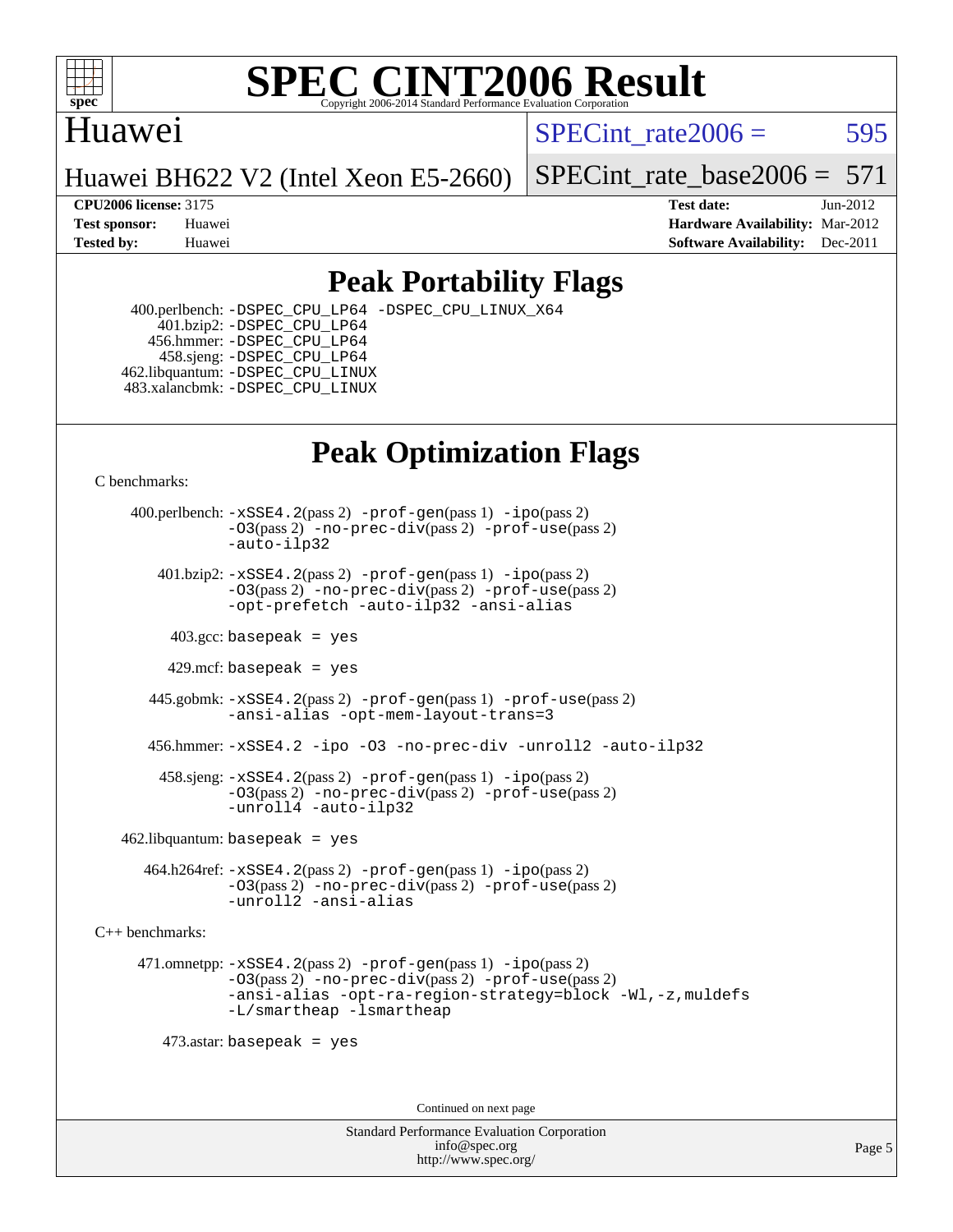

### Huawei

SPECint rate $2006 = 595$ 

Huawei BH622 V2 (Intel Xeon E5-2660)

[SPECint\\_rate\\_base2006 =](http://www.spec.org/auto/cpu2006/Docs/result-fields.html#SPECintratebase2006)  $571$ 

**[CPU2006 license:](http://www.spec.org/auto/cpu2006/Docs/result-fields.html#CPU2006license)** 3175 **[Test date:](http://www.spec.org/auto/cpu2006/Docs/result-fields.html#Testdate)** Jun-2012 **[Test sponsor:](http://www.spec.org/auto/cpu2006/Docs/result-fields.html#Testsponsor)** Huawei **[Hardware Availability:](http://www.spec.org/auto/cpu2006/Docs/result-fields.html#HardwareAvailability)** Mar-2012 **[Tested by:](http://www.spec.org/auto/cpu2006/Docs/result-fields.html#Testedby)** Huawei **[Software Availability:](http://www.spec.org/auto/cpu2006/Docs/result-fields.html#SoftwareAvailability)** Dec-2011

## **[Peak Portability Flags](http://www.spec.org/auto/cpu2006/Docs/result-fields.html#PeakPortabilityFlags)**

 400.perlbench: [-DSPEC\\_CPU\\_LP64](http://www.spec.org/cpu2006/results/res2012q3/cpu2006-20120612-22866.flags.html#b400.perlbench_peakCPORTABILITY_DSPEC_CPU_LP64) [-DSPEC\\_CPU\\_LINUX\\_X64](http://www.spec.org/cpu2006/results/res2012q3/cpu2006-20120612-22866.flags.html#b400.perlbench_peakCPORTABILITY_DSPEC_CPU_LINUX_X64) 401.bzip2: [-DSPEC\\_CPU\\_LP64](http://www.spec.org/cpu2006/results/res2012q3/cpu2006-20120612-22866.flags.html#suite_peakCPORTABILITY401_bzip2_DSPEC_CPU_LP64) 456.hmmer: [-DSPEC\\_CPU\\_LP64](http://www.spec.org/cpu2006/results/res2012q3/cpu2006-20120612-22866.flags.html#suite_peakCPORTABILITY456_hmmer_DSPEC_CPU_LP64) 458.sjeng: [-DSPEC\\_CPU\\_LP64](http://www.spec.org/cpu2006/results/res2012q3/cpu2006-20120612-22866.flags.html#suite_peakCPORTABILITY458_sjeng_DSPEC_CPU_LP64) 462.libquantum: [-DSPEC\\_CPU\\_LINUX](http://www.spec.org/cpu2006/results/res2012q3/cpu2006-20120612-22866.flags.html#b462.libquantum_peakCPORTABILITY_DSPEC_CPU_LINUX) 483.xalancbmk: [-DSPEC\\_CPU\\_LINUX](http://www.spec.org/cpu2006/results/res2012q3/cpu2006-20120612-22866.flags.html#b483.xalancbmk_peakCXXPORTABILITY_DSPEC_CPU_LINUX)

## **[Peak Optimization Flags](http://www.spec.org/auto/cpu2006/Docs/result-fields.html#PeakOptimizationFlags)**

[C benchmarks](http://www.spec.org/auto/cpu2006/Docs/result-fields.html#Cbenchmarks):

 400.perlbench: [-xSSE4.2](http://www.spec.org/cpu2006/results/res2012q3/cpu2006-20120612-22866.flags.html#user_peakPASS2_CFLAGSPASS2_LDCFLAGS400_perlbench_f-xSSE42_f91528193cf0b216347adb8b939d4107)(pass 2) [-prof-gen](http://www.spec.org/cpu2006/results/res2012q3/cpu2006-20120612-22866.flags.html#user_peakPASS1_CFLAGSPASS1_LDCFLAGS400_perlbench_prof_gen_e43856698f6ca7b7e442dfd80e94a8fc)(pass 1) [-ipo](http://www.spec.org/cpu2006/results/res2012q3/cpu2006-20120612-22866.flags.html#user_peakPASS2_CFLAGSPASS2_LDCFLAGS400_perlbench_f-ipo)(pass 2) [-O3](http://www.spec.org/cpu2006/results/res2012q3/cpu2006-20120612-22866.flags.html#user_peakPASS2_CFLAGSPASS2_LDCFLAGS400_perlbench_f-O3)(pass 2) [-no-prec-div](http://www.spec.org/cpu2006/results/res2012q3/cpu2006-20120612-22866.flags.html#user_peakPASS2_CFLAGSPASS2_LDCFLAGS400_perlbench_f-no-prec-div)(pass 2) [-prof-use](http://www.spec.org/cpu2006/results/res2012q3/cpu2006-20120612-22866.flags.html#user_peakPASS2_CFLAGSPASS2_LDCFLAGS400_perlbench_prof_use_bccf7792157ff70d64e32fe3e1250b55)(pass 2) [-auto-ilp32](http://www.spec.org/cpu2006/results/res2012q3/cpu2006-20120612-22866.flags.html#user_peakCOPTIMIZE400_perlbench_f-auto-ilp32)  $401.bzip2: -xSSE4.2(pass 2) -prof-qen(pass 1) -ipo(pass 2)$  $401.bzip2: -xSSE4.2(pass 2) -prof-qen(pass 1) -ipo(pass 2)$  $401.bzip2: -xSSE4.2(pass 2) -prof-qen(pass 1) -ipo(pass 2)$  $401.bzip2: -xSSE4.2(pass 2) -prof-qen(pass 1) -ipo(pass 2)$  $401.bzip2: -xSSE4.2(pass 2) -prof-qen(pass 1) -ipo(pass 2)$ [-O3](http://www.spec.org/cpu2006/results/res2012q3/cpu2006-20120612-22866.flags.html#user_peakPASS2_CFLAGSPASS2_LDCFLAGS401_bzip2_f-O3)(pass 2) [-no-prec-div](http://www.spec.org/cpu2006/results/res2012q3/cpu2006-20120612-22866.flags.html#user_peakPASS2_CFLAGSPASS2_LDCFLAGS401_bzip2_f-no-prec-div)(pass 2) [-prof-use](http://www.spec.org/cpu2006/results/res2012q3/cpu2006-20120612-22866.flags.html#user_peakPASS2_CFLAGSPASS2_LDCFLAGS401_bzip2_prof_use_bccf7792157ff70d64e32fe3e1250b55)(pass 2) [-opt-prefetch](http://www.spec.org/cpu2006/results/res2012q3/cpu2006-20120612-22866.flags.html#user_peakCOPTIMIZE401_bzip2_f-opt-prefetch) [-auto-ilp32](http://www.spec.org/cpu2006/results/res2012q3/cpu2006-20120612-22866.flags.html#user_peakCOPTIMIZE401_bzip2_f-auto-ilp32) [-ansi-alias](http://www.spec.org/cpu2006/results/res2012q3/cpu2006-20120612-22866.flags.html#user_peakCOPTIMIZE401_bzip2_f-ansi-alias)  $403.\text{sec: basepeak}$  = yes 429.mcf: basepeak = yes 445.gobmk: [-xSSE4.2](http://www.spec.org/cpu2006/results/res2012q3/cpu2006-20120612-22866.flags.html#user_peakPASS2_CFLAGSPASS2_LDCFLAGS445_gobmk_f-xSSE42_f91528193cf0b216347adb8b939d4107)(pass 2) [-prof-gen](http://www.spec.org/cpu2006/results/res2012q3/cpu2006-20120612-22866.flags.html#user_peakPASS1_CFLAGSPASS1_LDCFLAGS445_gobmk_prof_gen_e43856698f6ca7b7e442dfd80e94a8fc)(pass 1) [-prof-use](http://www.spec.org/cpu2006/results/res2012q3/cpu2006-20120612-22866.flags.html#user_peakPASS2_CFLAGSPASS2_LDCFLAGS445_gobmk_prof_use_bccf7792157ff70d64e32fe3e1250b55)(pass 2) [-ansi-alias](http://www.spec.org/cpu2006/results/res2012q3/cpu2006-20120612-22866.flags.html#user_peakCOPTIMIZE445_gobmk_f-ansi-alias) [-opt-mem-layout-trans=3](http://www.spec.org/cpu2006/results/res2012q3/cpu2006-20120612-22866.flags.html#user_peakCOPTIMIZE445_gobmk_f-opt-mem-layout-trans_a7b82ad4bd7abf52556d4961a2ae94d5) 456.hmmer: [-xSSE4.2](http://www.spec.org/cpu2006/results/res2012q3/cpu2006-20120612-22866.flags.html#user_peakCOPTIMIZE456_hmmer_f-xSSE42_f91528193cf0b216347adb8b939d4107) [-ipo](http://www.spec.org/cpu2006/results/res2012q3/cpu2006-20120612-22866.flags.html#user_peakCOPTIMIZE456_hmmer_f-ipo) [-O3](http://www.spec.org/cpu2006/results/res2012q3/cpu2006-20120612-22866.flags.html#user_peakCOPTIMIZE456_hmmer_f-O3) [-no-prec-div](http://www.spec.org/cpu2006/results/res2012q3/cpu2006-20120612-22866.flags.html#user_peakCOPTIMIZE456_hmmer_f-no-prec-div) [-unroll2](http://www.spec.org/cpu2006/results/res2012q3/cpu2006-20120612-22866.flags.html#user_peakCOPTIMIZE456_hmmer_f-unroll_784dae83bebfb236979b41d2422d7ec2) [-auto-ilp32](http://www.spec.org/cpu2006/results/res2012q3/cpu2006-20120612-22866.flags.html#user_peakCOPTIMIZE456_hmmer_f-auto-ilp32) 458.sjeng: [-xSSE4.2](http://www.spec.org/cpu2006/results/res2012q3/cpu2006-20120612-22866.flags.html#user_peakPASS2_CFLAGSPASS2_LDCFLAGS458_sjeng_f-xSSE42_f91528193cf0b216347adb8b939d4107)(pass 2) [-prof-gen](http://www.spec.org/cpu2006/results/res2012q3/cpu2006-20120612-22866.flags.html#user_peakPASS1_CFLAGSPASS1_LDCFLAGS458_sjeng_prof_gen_e43856698f6ca7b7e442dfd80e94a8fc)(pass 1) [-ipo](http://www.spec.org/cpu2006/results/res2012q3/cpu2006-20120612-22866.flags.html#user_peakPASS2_CFLAGSPASS2_LDCFLAGS458_sjeng_f-ipo)(pass 2) [-O3](http://www.spec.org/cpu2006/results/res2012q3/cpu2006-20120612-22866.flags.html#user_peakPASS2_CFLAGSPASS2_LDCFLAGS458_sjeng_f-O3)(pass 2) [-no-prec-div](http://www.spec.org/cpu2006/results/res2012q3/cpu2006-20120612-22866.flags.html#user_peakPASS2_CFLAGSPASS2_LDCFLAGS458_sjeng_f-no-prec-div)(pass 2) [-prof-use](http://www.spec.org/cpu2006/results/res2012q3/cpu2006-20120612-22866.flags.html#user_peakPASS2_CFLAGSPASS2_LDCFLAGS458_sjeng_prof_use_bccf7792157ff70d64e32fe3e1250b55)(pass 2) [-unroll4](http://www.spec.org/cpu2006/results/res2012q3/cpu2006-20120612-22866.flags.html#user_peakCOPTIMIZE458_sjeng_f-unroll_4e5e4ed65b7fd20bdcd365bec371b81f) [-auto-ilp32](http://www.spec.org/cpu2006/results/res2012q3/cpu2006-20120612-22866.flags.html#user_peakCOPTIMIZE458_sjeng_f-auto-ilp32)  $462$ .libquantum: basepeak = yes 464.h264ref: [-xSSE4.2](http://www.spec.org/cpu2006/results/res2012q3/cpu2006-20120612-22866.flags.html#user_peakPASS2_CFLAGSPASS2_LDCFLAGS464_h264ref_f-xSSE42_f91528193cf0b216347adb8b939d4107)(pass 2) [-prof-gen](http://www.spec.org/cpu2006/results/res2012q3/cpu2006-20120612-22866.flags.html#user_peakPASS1_CFLAGSPASS1_LDCFLAGS464_h264ref_prof_gen_e43856698f6ca7b7e442dfd80e94a8fc)(pass 1) [-ipo](http://www.spec.org/cpu2006/results/res2012q3/cpu2006-20120612-22866.flags.html#user_peakPASS2_CFLAGSPASS2_LDCFLAGS464_h264ref_f-ipo)(pass 2) [-O3](http://www.spec.org/cpu2006/results/res2012q3/cpu2006-20120612-22866.flags.html#user_peakPASS2_CFLAGSPASS2_LDCFLAGS464_h264ref_f-O3)(pass 2) [-no-prec-div](http://www.spec.org/cpu2006/results/res2012q3/cpu2006-20120612-22866.flags.html#user_peakPASS2_CFLAGSPASS2_LDCFLAGS464_h264ref_f-no-prec-div)(pass 2) [-prof-use](http://www.spec.org/cpu2006/results/res2012q3/cpu2006-20120612-22866.flags.html#user_peakPASS2_CFLAGSPASS2_LDCFLAGS464_h264ref_prof_use_bccf7792157ff70d64e32fe3e1250b55)(pass 2) [-unroll2](http://www.spec.org/cpu2006/results/res2012q3/cpu2006-20120612-22866.flags.html#user_peakCOPTIMIZE464_h264ref_f-unroll_784dae83bebfb236979b41d2422d7ec2) [-ansi-alias](http://www.spec.org/cpu2006/results/res2012q3/cpu2006-20120612-22866.flags.html#user_peakCOPTIMIZE464_h264ref_f-ansi-alias)

[C++ benchmarks:](http://www.spec.org/auto/cpu2006/Docs/result-fields.html#CXXbenchmarks)

 471.omnetpp: [-xSSE4.2](http://www.spec.org/cpu2006/results/res2012q3/cpu2006-20120612-22866.flags.html#user_peakPASS2_CXXFLAGSPASS2_LDCXXFLAGS471_omnetpp_f-xSSE42_f91528193cf0b216347adb8b939d4107)(pass 2) [-prof-gen](http://www.spec.org/cpu2006/results/res2012q3/cpu2006-20120612-22866.flags.html#user_peakPASS1_CXXFLAGSPASS1_LDCXXFLAGS471_omnetpp_prof_gen_e43856698f6ca7b7e442dfd80e94a8fc)(pass 1) [-ipo](http://www.spec.org/cpu2006/results/res2012q3/cpu2006-20120612-22866.flags.html#user_peakPASS2_CXXFLAGSPASS2_LDCXXFLAGS471_omnetpp_f-ipo)(pass 2) [-O3](http://www.spec.org/cpu2006/results/res2012q3/cpu2006-20120612-22866.flags.html#user_peakPASS2_CXXFLAGSPASS2_LDCXXFLAGS471_omnetpp_f-O3)(pass 2) [-no-prec-div](http://www.spec.org/cpu2006/results/res2012q3/cpu2006-20120612-22866.flags.html#user_peakPASS2_CXXFLAGSPASS2_LDCXXFLAGS471_omnetpp_f-no-prec-div)(pass 2) [-prof-use](http://www.spec.org/cpu2006/results/res2012q3/cpu2006-20120612-22866.flags.html#user_peakPASS2_CXXFLAGSPASS2_LDCXXFLAGS471_omnetpp_prof_use_bccf7792157ff70d64e32fe3e1250b55)(pass 2) [-ansi-alias](http://www.spec.org/cpu2006/results/res2012q3/cpu2006-20120612-22866.flags.html#user_peakCXXOPTIMIZE471_omnetpp_f-ansi-alias) [-opt-ra-region-strategy=block](http://www.spec.org/cpu2006/results/res2012q3/cpu2006-20120612-22866.flags.html#user_peakCXXOPTIMIZE471_omnetpp_f-opt-ra-region-strategy_a0a37c372d03933b2a18d4af463c1f69) [-Wl,-z,muldefs](http://www.spec.org/cpu2006/results/res2012q3/cpu2006-20120612-22866.flags.html#user_peakEXTRA_LDFLAGS471_omnetpp_link_force_multiple1_74079c344b956b9658436fd1b6dd3a8a) [-L/smartheap -lsmartheap](http://www.spec.org/cpu2006/results/res2012q3/cpu2006-20120612-22866.flags.html#user_peakEXTRA_LIBS471_omnetpp_SmartHeap_7c9e394a5779e1a7fec7c221e123830c)

473.astar: basepeak = yes

Continued on next page